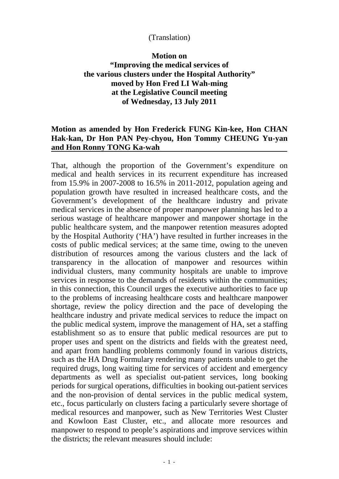## (Translation)

## **Motion on**

## **"Improving the medical services of the various clusters under the Hospital Authority" moved by Hon Fred LI Wah-ming at the Legislative Council meeting of Wednesday, 13 July 2011**

## **Motion as amended by Hon Frederick FUNG Kin-kee, Hon CHAN Hak-kan, Dr Hon PAN Pey-chyou, Hon Tommy CHEUNG Yu-yan and Hon Ronny TONG Ka-wah**

That, although the proportion of the Government's expenditure on medical and health services in its recurrent expenditure has increased from 15.9% in 2007-2008 to 16.5% in 2011-2012, population ageing and population growth have resulted in increased healthcare costs, and the Government's development of the healthcare industry and private medical services in the absence of proper manpower planning has led to a serious wastage of healthcare manpower and manpower shortage in the public healthcare system, and the manpower retention measures adopted by the Hospital Authority ('HA') have resulted in further increases in the costs of public medical services; at the same time, owing to the uneven distribution of resources among the various clusters and the lack of transparency in the allocation of manpower and resources within individual clusters, many community hospitals are unable to improve services in response to the demands of residents within the communities; in this connection, this Council urges the executive authorities to face up to the problems of increasing healthcare costs and healthcare manpower shortage, review the policy direction and the pace of developing the healthcare industry and private medical services to reduce the impact on the public medical system, improve the management of HA, set a staffing establishment so as to ensure that public medical resources are put to proper uses and spent on the districts and fields with the greatest need, and apart from handling problems commonly found in various districts, such as the HA Drug Formulary rendering many patients unable to get the required drugs, long waiting time for services of accident and emergency departments as well as specialist out-patient services, long booking periods for surgical operations, difficulties in booking out-patient services and the non-provision of dental services in the public medical system, etc., focus particularly on clusters facing a particularly severe shortage of medical resources and manpower, such as New Territories West Cluster and Kowloon East Cluster, etc., and allocate more resources and manpower to respond to people's aspirations and improve services within the districts; the relevant measures should include: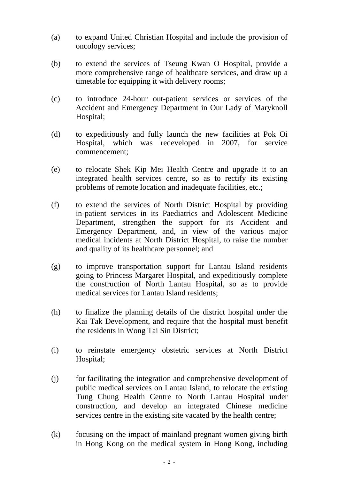- (a) to expand United Christian Hospital and include the provision of oncology services;
- (b) to extend the services of Tseung Kwan O Hospital, provide a more comprehensive range of healthcare services, and draw up a timetable for equipping it with delivery rooms;
- (c) to introduce 24-hour out-patient services or services of the Accident and Emergency Department in Our Lady of Maryknoll Hospital;
- (d) to expeditiously and fully launch the new facilities at Pok Oi Hospital, which was redeveloped in 2007, for service commencement;
- (e) to relocate Shek Kip Mei Health Centre and upgrade it to an integrated health services centre, so as to rectify its existing problems of remote location and inadequate facilities, etc.;
- (f) to extend the services of North District Hospital by providing in-patient services in its Paediatrics and Adolescent Medicine Department, strengthen the support for its Accident and Emergency Department, and, in view of the various major medical incidents at North District Hospital, to raise the number and quality of its healthcare personnel; and
- (g) to improve transportation support for Lantau Island residents going to Princess Margaret Hospital, and expeditiously complete the construction of North Lantau Hospital, so as to provide medical services for Lantau Island residents;
- (h) to finalize the planning details of the district hospital under the Kai Tak Development, and require that the hospital must benefit the residents in Wong Tai Sin District;
- (i) to reinstate emergency obstetric services at North District Hospital;
- (j) for facilitating the integration and comprehensive development of public medical services on Lantau Island, to relocate the existing Tung Chung Health Centre to North Lantau Hospital under construction, and develop an integrated Chinese medicine services centre in the existing site vacated by the health centre;
- (k) focusing on the impact of mainland pregnant women giving birth in Hong Kong on the medical system in Hong Kong, including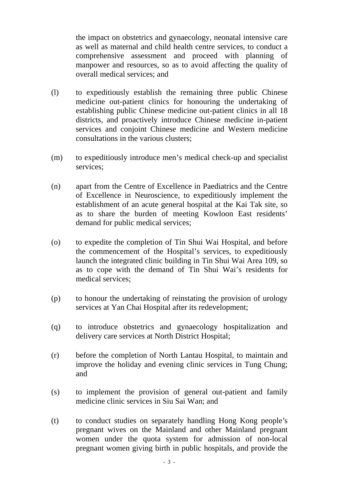the impact on obstetrics and gynaecology, neonatal intensive care as well as maternal and child health centre services, to conduct a comprehensive assessment and proceed with planning of manpower and resources, so as to avoid affecting the quality of overall medical services; and

- (l) to expeditiously establish the remaining three public Chinese medicine out-patient clinics for honouring the undertaking of establishing public Chinese medicine out-patient clinics in all 18 districts, and proactively introduce Chinese medicine in-patient services and conjoint Chinese medicine and Western medicine consultations in the various clusters;
- (m) to expeditiously introduce men's medical check-up and specialist services;
- (n) apart from the Centre of Excellence in Paediatrics and the Centre of Excellence in Neuroscience, to expeditiously implement the establishment of an acute general hospital at the Kai Tak site, so as to share the burden of meeting Kowloon East residents' demand for public medical services;
- (o) to expedite the completion of Tin Shui Wai Hospital, and before the commencement of the Hospital's services, to expeditiously launch the integrated clinic building in Tin Shui Wai Area 109, so as to cope with the demand of Tin Shui Wai's residents for medical services;
- (p) to honour the undertaking of reinstating the provision of urology services at Yan Chai Hospital after its redevelopment;
- (q) to introduce obstetrics and gynaecology hospitalization and delivery care services at North District Hospital;
- (r) before the completion of North Lantau Hospital, to maintain and improve the holiday and evening clinic services in Tung Chung; and
- (s) to implement the provision of general out-patient and family medicine clinic services in Siu Sai Wan; and
- (t) to conduct studies on separately handling Hong Kong people's pregnant wives on the Mainland and other Mainland pregnant women under the quota system for admission of non-local pregnant women giving birth in public hospitals, and provide the